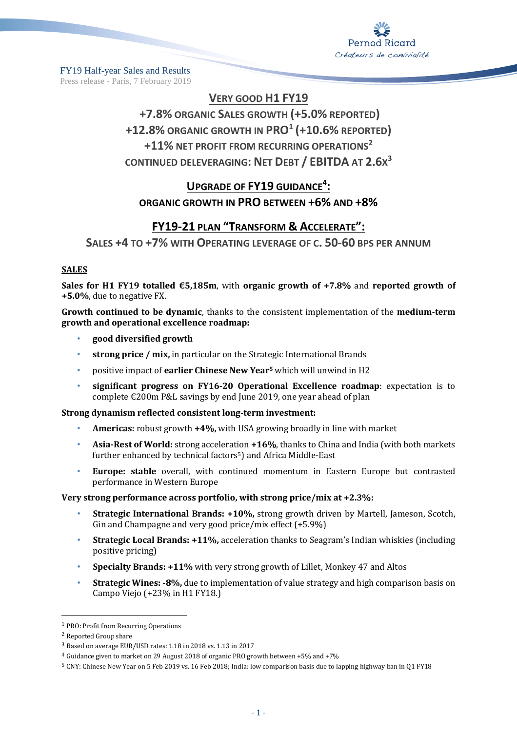

FY19 Half-year Sales and Results Press release - Paris, 7 February 2019

# **VERY GOOD H1 FY19**

# **+7.8% ORGANIC SALES GROWTH (+5.0% REPORTED) +12.8% ORGANIC GROWTH IN PRO<sup>1</sup> (+10.6% REPORTED) +11% NET PROFIT FROM RECURRING OPERATIONS<sup>2</sup> CONTINUED DELEVERAGING: NET DEBT / EBITDA AT 2.6X 3**

# **UPGRADE OF FY19 GUIDANCE<sup>4</sup> : ORGANIC GROWTH IN PRO BETWEEN +6% AND +8%**

# **FY19-21 PLAN "TRANSFORM & ACCELERATE":**

**SALES +4 TO +7% WITH OPERATING LEVERAGE OF C. 50-60 BPS PER ANNUM**

### **SALES**

**Sales for H1 FY19 totalled €5,185m**, with **organic growth of +7.8%** and **reported growth of +5.0%**, due to negative FX.

**Growth continued to be dynamic**, thanks to the consistent implementation of the **medium-term growth and operational excellence roadmap:**

- **good diversified growth**
- **strong price / mix,** in particular on the Strategic International Brands
- positive impact of **earlier Chinese New Year<sup>5</sup>** which will unwind in H2
- **significant progress on FY16-20 Operational Excellence roadmap**: expectation is to complete €200m P&L savings by end June 2019, one year ahead of plan

#### **Strong dynamism reflected consistent long-term investment:**

- **Americas:** robust growth **+4%,** with USA growing broadly in line with market
- **Asia-Rest of World:** strong acceleration **+16%**, thanks to China and India (with both markets further enhanced by technical factors<sup>5</sup>) and Africa Middle-East
- **Europe: stable** overall, with continued momentum in Eastern Europe but contrasted performance in Western Europe

### **Very strong performance across portfolio, with strong price/mix at +2.3%:**

- **Strategic International Brands: +10%,** strong growth driven by Martell, Jameson, Scotch, Gin and Champagne and very good price/mix effect (+5.9%)
- **Strategic Local Brands: +11%,** acceleration thanks to Seagram's Indian whiskies (including positive pricing)
- **Specialty Brands: +11%** with very strong growth of Lillet, Monkey 47 and Altos
- **Strategic Wines: -8%,** due to implementation of value strategy and high comparison basis on Campo Viejo (+23% in H1 FY18.)

 $\overline{\phantom{a}}$ 

<sup>1</sup> PRO: Profit from Recurring Operations

<sup>2</sup> Reported Group share

<sup>3</sup> Based on average EUR/USD rates: 1.18 in 2018 vs. 1.13 in 2017

<sup>4</sup> Guidance given to market on 29 August 2018 of organic PRO growth between +5% and +7%

<sup>5</sup> CNY: Chinese New Year on 5 Feb 2019 vs. 16 Feb 2018; India: low comparison basis due to lapping highway ban in Q1 FY18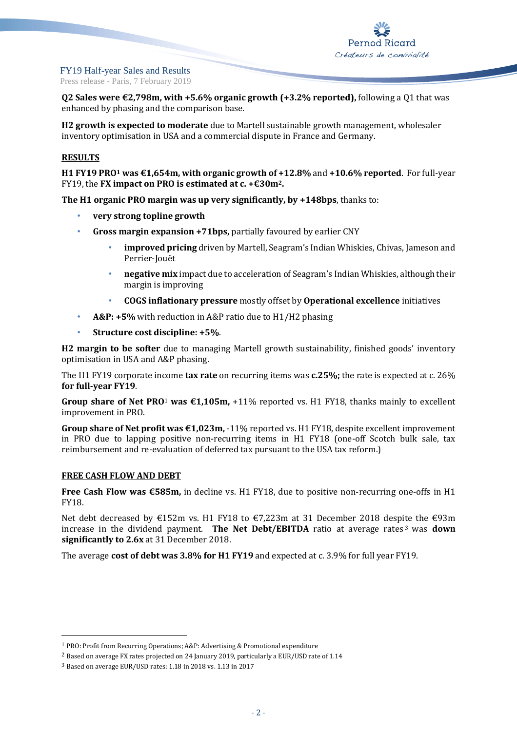

Press release - Paris, 7 February 2019

**Q2 Sales were €2,798m, with +5.6% organic growth (+3.2% reported),** following a Q1 that was enhanced by phasing and the comparison base.

**H2 growth is expected to moderate** due to Martell sustainable growth management, wholesaler inventory optimisation in USA and a commercial dispute in France and Germany.

### **RESULTS**

**H1 FY19 PRO<sup>1</sup> was €1,654m, with organic growth of +12.8%** and **+10.6% reported**. For full-year FY19, the **FX impact on PRO is estimated at c. +€30m2.**

**The H1 organic PRO margin was up very significantly, by +148bps**, thanks to:

- **very strong topline growth**
- **Gross margin expansion +71bps,** partially favoured by earlier CNY
	- **improved pricing** driven by Martell, Seagram's Indian Whiskies, Chivas, Jameson and Perrier-Jouët
	- **negative mix** impact due to acceleration of Seagram's Indian Whiskies, although their margin is improving
	- **COGS inflationary pressure** mostly offset by **Operational excellence** initiatives
- **A&P: +5%** with reduction in A&P ratio due to H1/H2 phasing
- **Structure cost discipline: +5%**.

**H2 margin to be softer** due to managing Martell growth sustainability, finished goods' inventory optimisation in USA and A&P phasing.

The H1 FY19 corporate income **tax rate** on recurring items was **c.25%;** the rate is expected at c. 26% **for full-year FY19**.

**Group share of Net PRO**<sup>1</sup> **was €1,105m,** +11% reported vs. H1 FY18, thanks mainly to excellent improvement in PRO.

**Group share of Net profit was €1,023m,** -11% reported vs. H1 FY18, despite excellent improvement in PRO due to lapping positive non-recurring items in H1 FY18 (one-off Scotch bulk sale, tax reimbursement and re-evaluation of deferred tax pursuant to the USA tax reform.)

#### **FREE CASH FLOW AND DEBT**

 $\overline{\phantom{a}}$ 

**Free Cash Flow was €585m,** in decline vs. H1 FY18, due to positive non-recurring one-offs in H1 FY18.

Net debt decreased by €152m vs. H1 FY18 to €7,223m at 31 December 2018 despite the €93m increase in the dividend payment. **The Net Debt/EBITDA** ratio at average rates <sup>3</sup> was **down significantly to 2.6x** at 31 December 2018.

The average **cost of debt was 3.8% for H1 FY19** and expected at c. 3.9% for full year FY19.

<sup>1</sup> PRO: Profit from Recurring Operations; A&P: Advertising & Promotional expenditure

<sup>&</sup>lt;sup>2</sup> Based on average FX rates projected on 24 January 2019, particularly a EUR/USD rate of 1.14

<sup>3</sup> Based on average EUR/USD rates: 1.18 in 2018 vs. 1.13 in 2017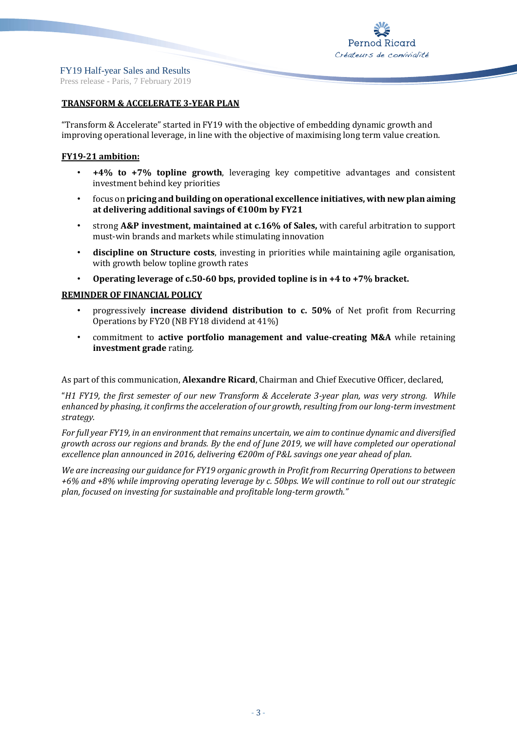### **TRANSFORM & ACCELERATE 3-YEAR PLAN**

"Transform & Accelerate" started in FY19 with the objective of embedding dynamic growth and improving operational leverage, in line with the objective of maximising long term value creation.

### **FY19-21 ambition:**

- **+4% to +7% topline growth**, leveraging key competitive advantages and consistent investment behind key priorities
- focus on **pricing and building on operational excellence initiatives, with new plan aiming at delivering additional savings of €100m by FY21**
- strong **A&P investment, maintained at c.16% of Sales,** with careful arbitration to support must-win brands and markets while stimulating innovation
- **discipline on Structure costs**, investing in priorities while maintaining agile organisation, with growth below topline growth rates
- **Operating leverage of c.50-60 bps, provided topline is in +4 to +7% bracket.**

### **REMINDER OF FINANCIAL POLICY**

- progressively **increase dividend distribution to c. 50%** of Net profit from Recurring Operations by FY20 (NB FY18 dividend at 41%)
- commitment to **active portfolio management and value-creating M&A** while retaining **investment grade** rating.

As part of this communication, **Alexandre Ricard**, Chairman and Chief Executive Officer, declared,

"*H1 FY19, the first semester of our new Transform & Accelerate 3-year plan, was very strong. While enhanced by phasing, it confirms the acceleration of our growth, resulting from our long-term investment strategy.* 

*For full year FY19, in an environment that remains uncertain, we aim to continue dynamic and diversified growth across our regions and brands. By the end of June 2019, we will have completed our operational excellence plan announced in 2016, delivering €200m of P&L savings one year ahead of plan.* 

*We are increasing our guidance for FY19 organic growth in Profit from Recurring Operations to between +6% and +8% while improving operating leverage by c. 50bps. We will continue to roll out our strategic plan, focused on investing for sustainable and profitable long-term growth."*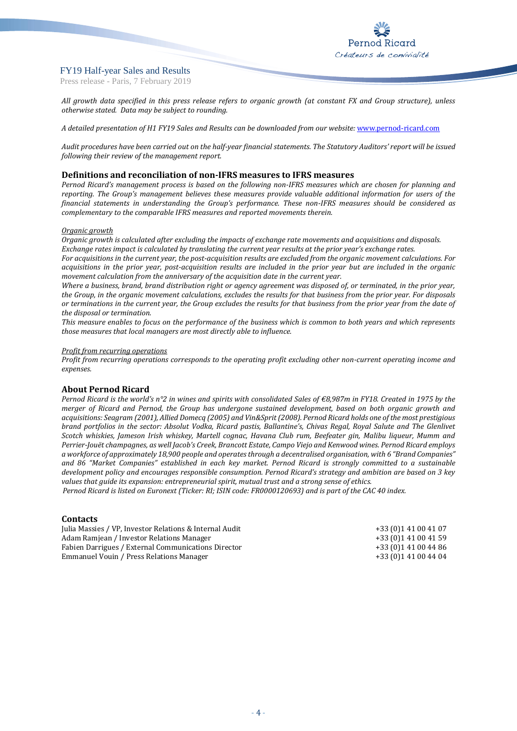Press release - Paris, 7 February 2019

*All growth data specified in this press release refers to organic growth (at constant FX and Group structure), unless otherwise stated. Data may be subject to rounding.*

*A detailed presentation of H1 FY19 Sales and Results can be downloaded from our website:* [www.pernod-ricard.com](http://www.pernod-ricard.com/)

*Audit procedures have been carried out on the half-year financial statements. The Statutory Auditors' report will be issued following their review of the management report.*

#### **Definitions and reconciliation of non-IFRS measures to IFRS measures**

*Pernod Ricard's management process is based on the following non-IFRS measures which are chosen for planning and reporting. The Group's management believes these measures provide valuable additional information for users of the financial statements in understanding the Group's performance. These non-IFRS measures should be considered as complementary to the comparable IFRS measures and reported movements therein.*

#### *Organic growth*

*Organic growth is calculated after excluding the impacts of exchange rate movements and acquisitions and disposals. Exchange rates impact is calculated by translating the current year results at the prior year's exchange rates.*

*For acquisitions in the current year, the post-acquisition results are excluded from the organic movement calculations. For acquisitions in the prior year, post-acquisition results are included in the prior year but are included in the organic movement calculation from the anniversary of the acquisition date in the current year.*

*Where a business, brand, brand distribution right or agency agreement was disposed of, or terminated, in the prior year, the Group, in the organic movement calculations, excludes the results for that business from the prior year. For disposals or terminations in the current year, the Group excludes the results for that business from the prior year from the date of the disposal or termination.*

*This measure enables to focus on the performance of the business which is common to both years and which represents those measures that local managers are most directly able to influence.*

#### *Profit from recurring operations*

*Profit from recurring operations corresponds to the operating profit excluding other non-current operating income and expenses.*

#### **About Pernod Ricard**

*Pernod Ricard is the world's n°2 in wines and spirits with consolidated Sales of €8,987m in FY18. Created in 1975 by the merger of Ricard and Pernod, the Group has undergone sustained development, based on both organic growth and acquisitions: Seagram (2001), Allied Domecq (2005) and Vin&Sprit (2008). Pernod Ricard holds one of the most prestigious brand portfolios in the sector: Absolut Vodka, Ricard pastis, Ballantine's, Chivas Regal, Royal Salute and The Glenlivet Scotch whiskies, Jameson Irish whiskey, Martell cognac, Havana Club rum, Beefeater gin, Malibu liqueur, Mumm and Perrier-Jouët champagnes, as well Jacob's Creek, Brancott Estate, Campo Viejo and Kenwood wines. Pernod Ricard employs a workforce of approximately 18,900 people and operates through a decentralised organisation, with 6 "Brand Companies" and 86 "Market Companies" established in each key market. Pernod Ricard is strongly committed to a sustainable development policy and encourages responsible consumption. Pernod Ricard's strategy and ambition are based on 3 key values that guide its expansion: entrepreneurial spirit, mutual trust and a strong sense of ethics.*

*Pernod Ricard is listed on Euronext (Ticker: RI; ISIN code: FR0000120693) and is part of the CAC 40 index.*

#### **Contacts**

| Julia Massies / VP, Investor Relations & Internal Audit | +33 (0) 141 00 41 07 |
|---------------------------------------------------------|----------------------|
| Adam Ramjean / Investor Relations Manager               | +33 (0) 141 00 41 59 |
| Fabien Darrigues / External Communications Director     | +33 (0) 141 00 44 86 |
| Emmanuel Vouin / Press Relations Manager                | +33 (0) 141 00 44 04 |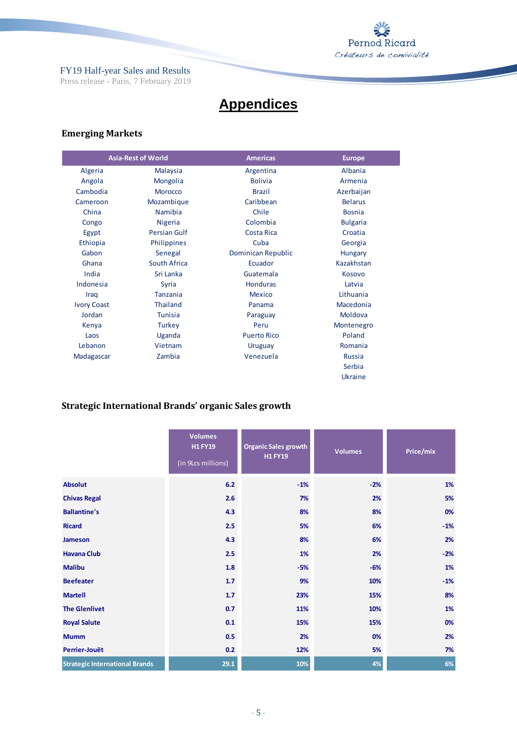

# **Appendices**

# **Emerging Markets**

|                    | <b>Asia-Rest of World</b> | <b>Americas</b>    | <b>Europe</b>   |  |  |
|--------------------|---------------------------|--------------------|-----------------|--|--|
| Algeria            | <b>Malaysia</b>           | Argentina          | Albania         |  |  |
| Angola             | Mongolia                  | <b>Bolivia</b>     | Armenia         |  |  |
| Cambodia           | Morocco                   | <b>Brazil</b>      | Azerbaijan      |  |  |
| Cameroon           | Mozambique                | Caribbean          | <b>Belarus</b>  |  |  |
| China              | <b>Namibia</b>            | Chile              | <b>Bosnia</b>   |  |  |
| Congo              | <b>Nigeria</b>            | Colombia           | <b>Bulgaria</b> |  |  |
| Egypt              | <b>Persian Gulf</b>       | Costa Rica         | Croatia         |  |  |
| Ethiopia           | Philippines               | Cuba               | Georgia         |  |  |
| Gabon              | Senegal                   | Dominican Republic | Hungary         |  |  |
| Ghana              | South Africa              | Ecuador            | Kazakhstan      |  |  |
| India              | Sri Lanka                 | Guatemala          | Kosovo          |  |  |
| Indonesia          | Syria                     | <b>Honduras</b>    | Latvia          |  |  |
| Iraq               | <b>Tanzania</b>           | <b>Mexico</b>      | Lithuania       |  |  |
| <b>Ivory Coast</b> | <b>Thailand</b>           | Panama             | Macedonia       |  |  |
| Jordan             | <b>Tunisia</b>            | Paraguay           | Moldova         |  |  |
| Kenya              | <b>Turkey</b>             | Peru               | Montenegro      |  |  |
| Laos               | Uganda                    | <b>Puerto Rico</b> | Poland          |  |  |
| Lebanon            | Vietnam                   | Uruguay            | Romania         |  |  |
| Madagascar         | Zambia                    | Venezuela          | <b>Russia</b>   |  |  |
|                    |                           |                    | Serbia          |  |  |
|                    |                           |                    | Ukraine         |  |  |

# **Strategic International Brands' organic Sales growth**

|                                       | <b>Volumes</b><br><b>H1 FY19</b><br>(in 9Lcs millions) | <b>Organic Sales growth</b><br><b>H1 FY19</b> | <b>Volumes</b> | Price/mix |
|---------------------------------------|--------------------------------------------------------|-----------------------------------------------|----------------|-----------|
| <b>Absolut</b>                        | 6.2                                                    | $-1%$                                         | $-2%$          | 1%        |
| <b>Chivas Regal</b>                   | 2.6                                                    | 7%                                            | 2%             | 5%        |
| <b>Ballantine's</b>                   | 4.3                                                    | 8%                                            | 8%             | 0%        |
| <b>Ricard</b>                         | 2.5                                                    | 5%                                            | 6%             | $-1%$     |
| <b>Jameson</b>                        | 4.3                                                    | 8%                                            | 6%             | 2%        |
| <b>Havana Club</b>                    | 2.5                                                    | 1%                                            | 2%             | $-2%$     |
| <b>Malibu</b>                         | 1.8                                                    | $-5%$                                         | $-6%$          | 1%        |
| <b>Beefeater</b>                      | 1.7                                                    | 9%                                            | 10%            | $-1%$     |
| <b>Martell</b>                        | 1.7                                                    | 23%                                           | 15%            | 8%        |
| <b>The Glenlivet</b>                  | 0.7                                                    | 11%                                           | 10%            | 1%        |
| <b>Royal Salute</b>                   | 0.1                                                    | 15%                                           | 15%            | 0%        |
| <b>Mumm</b>                           | 0.5                                                    | 2%                                            | 0%             | 2%        |
| Perrier-Jouët                         | 0.2                                                    | 12%                                           | 5%             | 7%        |
| <b>Strategic International Brands</b> | 29.1                                                   | 10%                                           | 4%             | 6%        |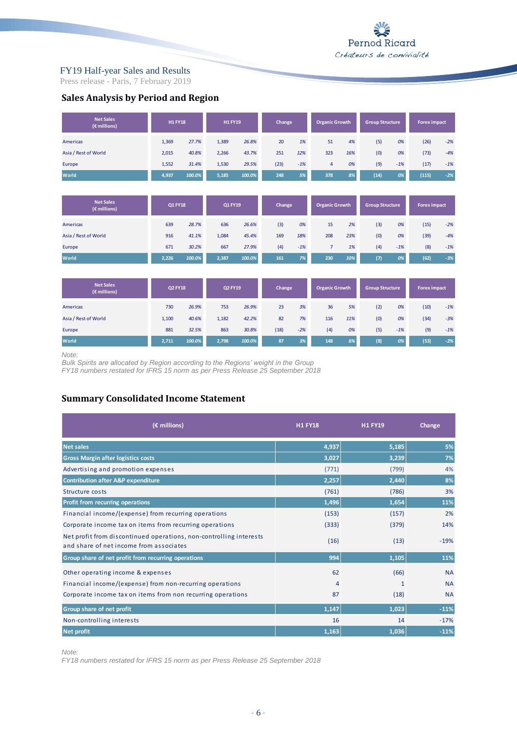Press release - Paris, 7 February 2019

**Sales Analysis by Period and Region**

| <b>Net Sales</b><br>(€ millions) | <b>H1 FY18</b> |        | <b>H1FY19</b>  |        | Change |       | <b>Organic Growth</b> |     | <b>Group Structure</b> |       | <b>Forex impact</b> |       |
|----------------------------------|----------------|--------|----------------|--------|--------|-------|-----------------------|-----|------------------------|-------|---------------------|-------|
| <b>Americas</b>                  | 1,369          | 27.7%  | 1,389          | 26.8%  | 20     | 1%    | 51                    | 4%  | (5)                    | 0%    | (26)                | $-2%$ |
| Asia / Rest of World             | 2.015          | 40.8%  | 2,266          | 43.7%  | 251    | 12%   | 323                   | 16% | (0)                    | 0%    | (73)                | $-4%$ |
| Europe                           | 1,552          | 31.4%  | 1,530          | 29.5%  | (23)   | $-1%$ | $\overline{4}$        | 0%  | (9)                    | $-1%$ | (17)                | $-1%$ |
| World                            | 4,937          | 100.0% | 5,185          | 100.0% | 248    | 5%    | 378                   | 8%  | (14)                   | 0%    | (115)               | $-2%$ |
|                                  |                |        |                |        |        |       |                       |     |                        |       |                     |       |
| <b>Net Sales</b><br>(€ millions) | <b>Q1 FY18</b> |        | <b>Q1 FY19</b> |        | Change |       | <b>Organic Growth</b> |     | <b>Group Structure</b> |       | <b>Forex impact</b> |       |
| <b>Americas</b>                  | 639            | 28.7%  | 636            | 26.6%  | (3)    | 0%    | 15                    | 2%  | (3)                    | 0%    | (15)                | $-2%$ |
| Asia / Rest of World             | 916            | 41.1%  | 1,084          | 45.4%  | 169    | 18%   | 208                   | 23% | (0)                    | 0%    | (39)                | $-4%$ |
| Europe                           | 671            | 30.2%  | 667            | 27.9%  | (4)    | $-1%$ | $\overline{7}$        | 1%  | (4)                    | $-1%$ | (8)                 | $-1%$ |
| World                            | 2,226          | 100.0% | 2,387          | 100.0% | 161    | 7%    | 230                   | 10% | (7)                    | 0%    | (62)                | $-3%$ |
|                                  |                |        |                |        |        |       |                       |     |                        |       |                     |       |
| <b>Net Sales</b><br>(€ millions) | <b>Q2 FY18</b> |        | Q2 FY19        |        | Change |       | <b>Organic Growth</b> |     | <b>Group Structure</b> |       | <b>Forex impact</b> |       |
| <b>Americas</b>                  | 730            | 26.9%  | 753            | 26.9%  | 23     | 3%    | 36                    | 5%  | (2)                    | 0%    | (10)                | $-1%$ |
| Asia / Rest of World             | 1,100          | 40.6%  | 1,182          | 42.2%  | 82     | 7%    | 116                   | 11% | (0)                    | 0%    | (34)                | $-3%$ |
| Europe                           | 881            | 32.5%  | 863            | 30.8%  | (18)   | $-2%$ | (4)                   | 0%  | (5)                    | $-1%$ | (9)                 | $-1%$ |
| World                            | 2,711          | 100.0% | 2,798          | 100.0% | 87     | 3%    | 148                   | 6%  | (8)                    | 0%    | (53)                | $-2%$ |

#### *Note:*

*Bulk Spirits are allocated by Region according to the Regions' weight in the Group Bulk Spirits are allocated by Region according to the Regions' weight in the Group*

*FY18 numbers restated for IFRS 15 norm as per Press Release 25 September 2018*

### **Summary Consolidated Income Statement**

| (€ millions)                                                                                                  | <b>H1 FY18</b> | <b>H1 FY19</b> | Change    |
|---------------------------------------------------------------------------------------------------------------|----------------|----------------|-----------|
| <b>Net sales</b>                                                                                              | 4,937          | 5,185          | 5%        |
| <b>Gross Margin after logistics costs</b>                                                                     | 3,027          | 3,239          | 7%        |
| Advertising and promotion expenses                                                                            | (771)          | (799)          | 4%        |
| <b>Contribution after A&amp;P expenditure</b>                                                                 | 2,257          | 2,440          | 8%        |
| Structure costs                                                                                               | (761)          | (786)          | 3%        |
| Profit from recurring operations                                                                              | 1,496          | 1,654          | 11%       |
| Financial income/(expense) from recurring operations                                                          | (153)          | (157)          | 2%        |
| Corporate income tax on items from recurring operations                                                       | (333)          | (379)          | 14%       |
| Net profit from discontinued operations, non-controlling interests<br>and share of net income from associates | (16)           | (13)           | $-19%$    |
| Group share of net profit from recurring operations                                                           | 994            | 1,105          | 11%       |
| Other operating income & expenses                                                                             | 62             | (66)           | <b>NA</b> |
| Financial income/(expense) from non-recurring operations                                                      | $\overline{4}$ | 1              | <b>NA</b> |
| Corporate income tax on items from non recurring operations                                                   | 87             | (18)           | <b>NA</b> |
| Group share of net profit                                                                                     | 1,147          | 1,023          | $-11%$    |
| Non-controlling interests                                                                                     | 16             | 14             | $-17%$    |
| <b>Net profit</b>                                                                                             | 1,163          | 1,036          | $-11%$    |

*Note:*

*FY18 numbers restated for IFRS 15 norm as per Press Release 25 September 2018*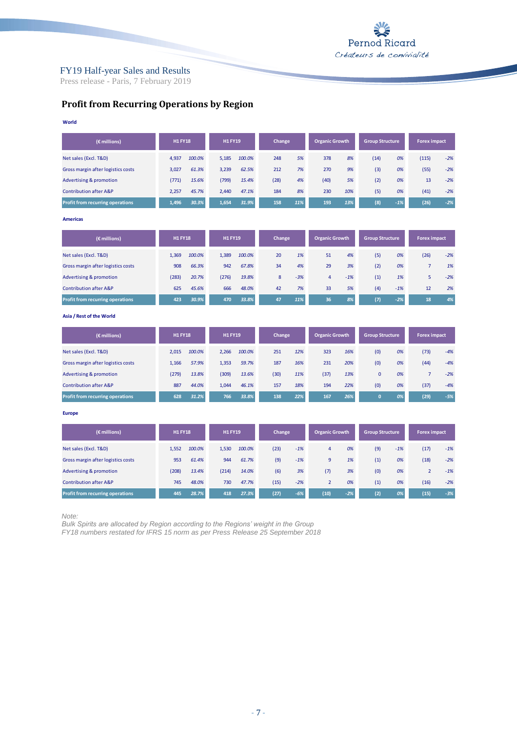

Press release - Paris, 7 February 2019

## **Profit from Recurring Operations by Region**

| World                                   |                |                |              |                       |                        |                     |
|-----------------------------------------|----------------|----------------|--------------|-----------------------|------------------------|---------------------|
| (€ millions)                            | <b>H1 FY18</b> | <b>H1 FY19</b> | Change       | <b>Organic Growth</b> | <b>Group Structure</b> | <b>Forex impact</b> |
| Net sales (Excl. T&D)                   | 4,937          | 5,185          | 5%           | 8%                    | (14)                   | (115)               |
|                                         | 100.0%         | 100.0%         | 248          | 378                   | 0%                     | $-2%$               |
| Gross margin after logistics costs      | 3,027          | 3,239          | 212          | 9%                    | (3)                    | $-2%$               |
|                                         | 61.3%          | 62.5%          | 7%           | 270                   | 0%                     | (55)                |
| Advertising & promotion                 | (771)          | (799)          | (28)         | 5%                    | (2)                    | $-2%$               |
|                                         | 15.6%          | 15.4%          | 4%           | (40)                  | 0%                     | 13                  |
| <b>Contribution after A&amp;P</b>       | 2,257          | 2,440          | 184          | 230                   | (5)                    | $-2%$               |
|                                         | 45.7%          | 47.1%          | 8%           | 10%                   | 0%                     | (41)                |
| <b>Profit from recurring operations</b> | 1,496          | 1,654          | 158          | 193                   | (8)                    | (26)                |
|                                         | 30.3%          | 31.9%          | 11%          | 13%                   | $-1%$                  | $-2%$               |
| <b>Americas</b>                         |                |                |              |                       |                        |                     |
| (€ millions)                            | <b>H1 FY18</b> | <b>H1 FY19</b> | Change       | <b>Organic Growth</b> | <b>Group Structure</b> | <b>Forex impact</b> |
| Not color (Fuel, TOD)                   | 1.250          | 1.200          | $20^{\circ}$ | A0/                   | IEN                    | $12C_1$             |
|                                         | 100.00         | 100.001        | 10/          | E <sub>1</sub>        | 0 <sup>0</sup>         | 20/                 |

| Net sales (Excl. T&D)                   | 1.369 | 100.0% | 1.389 | 100.0% | 20 | 1%    | 51 | 4%    | (5) | 0%    | (26) | $-2%$ |
|-----------------------------------------|-------|--------|-------|--------|----|-------|----|-------|-----|-------|------|-------|
| Gross margin after logistics costs      | 908   | 66.3%  | 942   | 67.8%  | 34 | 4%    | 29 | 3%    | (2) | 0%    |      | 1%    |
| Advertising & promotion                 | (283) | 20.7%  | (276) | 19.8%  |    | $-3%$ | 4  | $-1%$ | (1) | 1%    |      | $-2%$ |
| <b>Contribution after A&amp;P</b>       | 625   | 45.6%  | 666   | 48.0%  | 42 | 7%    | 33 | 5%    | (4) | $-1%$ | 12   | 2%    |
| <b>Profit from recurring operations</b> | 423   | 30.9%  | 470   | 33.8%  | 47 | 11%   | 36 | 8%    | (7) | $-2%$ | 18   | 4%    |

**Asia / Rest of the World**

| (€ millions)                            | <b>H1 FY18</b> |        | <b>H1 FY19</b> |        | Change |     | <b>Organic Growth</b> |     | <b>Group Structure</b> |    | <b>Forex impact</b> |       |
|-----------------------------------------|----------------|--------|----------------|--------|--------|-----|-----------------------|-----|------------------------|----|---------------------|-------|
| Net sales (Excl. T&D)                   | 2.015          | 100.0% | 2.266          | 100.0% | 251    | 12% | 323                   | 16% | (0)                    | 0% | (73)                | $-4%$ |
| Gross margin after logistics costs      | 1.166          | 57.9%  | 1.353          | 59.7%  | 187    | 16% | 231                   | 20% | (0)                    | 0% | (44)                | $-4%$ |
| <b>Advertising &amp; promotion</b>      | (279)          | 13.8%  | (309)          | 13.6%  | (30)   | 11% | (37)                  | 13% | $\mathbf{0}$           | 0% |                     | $-2%$ |
| <b>Contribution after A&amp;P</b>       | 887            | 44.0%  | 1.044          | 46.1%  | 157    | 18% | 194                   | 22% | (0)                    | 0% | (37)                | $-4%$ |
| <b>Profit from recurring operations</b> | 628            | 31.2%  | 766            | 33.8%  | 138    | 22% | 167                   | 26% | $\mathbf{0}$           | 0% | (29)                | $-5%$ |

**Europe**

| $(\epsilon$ millions)              | <b>H1 FY18</b> |        | <b>H1 FY19</b> |        | Change |       | <b>Organic Growth</b> |       | <b>Group Structure</b> |       | <b>Forex impact</b> |       |
|------------------------------------|----------------|--------|----------------|--------|--------|-------|-----------------------|-------|------------------------|-------|---------------------|-------|
| Net sales (Excl. T&D)              | 1,552          | 100.0% | 1.530          | 100.0% | (23)   | $-1%$ | 4                     | 0%    | (9)                    | $-1%$ | (17)                | $-1%$ |
| Gross margin after logistics costs | 953            | 61.4%  | 944            | 61.7%  | (9)    | $-1%$ | 9                     | 1%    | (1)                    | 0%    | (18)                | $-2%$ |
| <b>Advertising &amp; promotion</b> | (208)          | 13.4%  | (214)          | 14.0%  | (6)    | 3%    | (7)                   | 3%    | (0)                    | 0%    |                     | $-1%$ |
| <b>Contribution after A&amp;P</b>  | 745            | 48.0%  | 730            | 47.7%  | (15)   | $-2%$ |                       | 0%    | (1)                    | 0%    | (16)                | $-2%$ |
| Profit from recurring operations   | 445            | 28.7%  | 418            | 27.3%  | (27)   | $-6%$ | (10)                  | $-2%$ | (2)                    | 0%    | (15)                | $-3%$ |

*Note:*

*Bulk Spirits are allocated by Region according to the Regions' weight in the Group FY18 numbers restated for IFRS 15 norm as per Press Release 25 September 2018*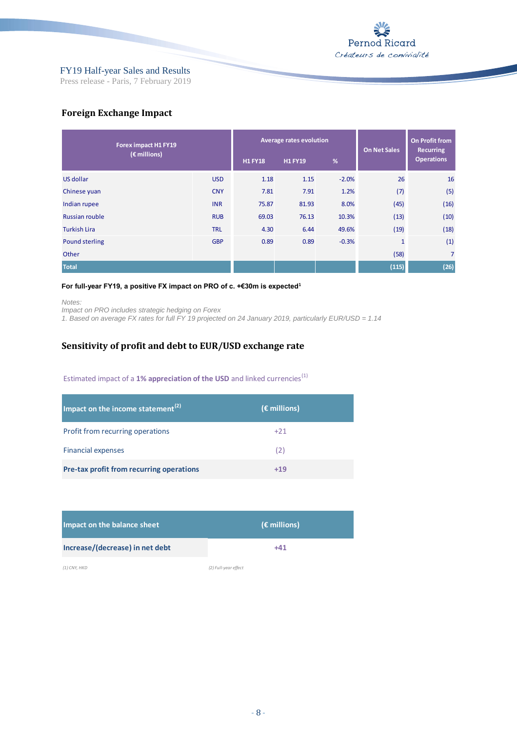

Press release - Paris, 7 February 2019

### **Foreign Exchange Impact**

| Forex impact H1 FY19  |            | Average rates evolution | <b>On Net Sales</b> | On Profit from<br><b>Recurring</b> |              |                   |
|-----------------------|------------|-------------------------|---------------------|------------------------------------|--------------|-------------------|
| (€ millions)          |            | <b>H1 FY18</b>          | <b>H1 FY19</b>      | %                                  |              | <b>Operations</b> |
| US dollar             | <b>USD</b> | 1.18                    | 1.15                | $-2.0%$                            | 26           | 16                |
| Chinese yuan          | <b>CNY</b> | 7.81                    | 7.91                | 1.2%                               | (7)          | (5)               |
| Indian rupee          | <b>INR</b> | 75.87                   | 81.93               | 8.0%                               | (45)         | (16)              |
| <b>Russian rouble</b> | <b>RUB</b> | 69.03                   | 76.13               | 10.3%                              | (13)         | (10)              |
| <b>Turkish Lira</b>   | <b>TRL</b> | 4.30                    | 6.44                | 49.6%                              | (19)         | (18)              |
| <b>Pound sterling</b> | <b>GBP</b> | 0.89                    | 0.89                | $-0.3%$                            | $\mathbf{1}$ | (1)               |
| Other                 |            |                         |                     |                                    | (58)         | $\overline{7}$    |
| <b>Total</b>          |            |                         |                     |                                    | (115)        | (26)              |

#### **For full-year FY19, a positive FX impact on PRO of c. +€30m is expected<sup>1</sup>**

*Notes:*

*Impact on PRO includes strategic hedging on Forex*

*1. Based on average FX rates for full FY 19 projected on 24 January 2019, particularly EUR/USD = 1.14*

### **Sensitivity of profit and debt to EUR/USD exchange rate**

### Estimated impact of a 1% appreciation of the USD and linked currencies<sup>(1)</sup>

| Impact on the income statement $^{(2)}$  | $(\epsilon$ millions) |
|------------------------------------------|-----------------------|
| Profit from recurring operations         | $+21$                 |
| <b>Financial expenses</b>                | (2)                   |
| Pre-tax profit from recurring operations | $+19$                 |

| Impact on the balance sheet     | $(\epsilon$ millions) |
|---------------------------------|-----------------------|
| Increase/(decrease) in net debt | +41                   |

*(1) CNY, HKD (2) Full-year effect*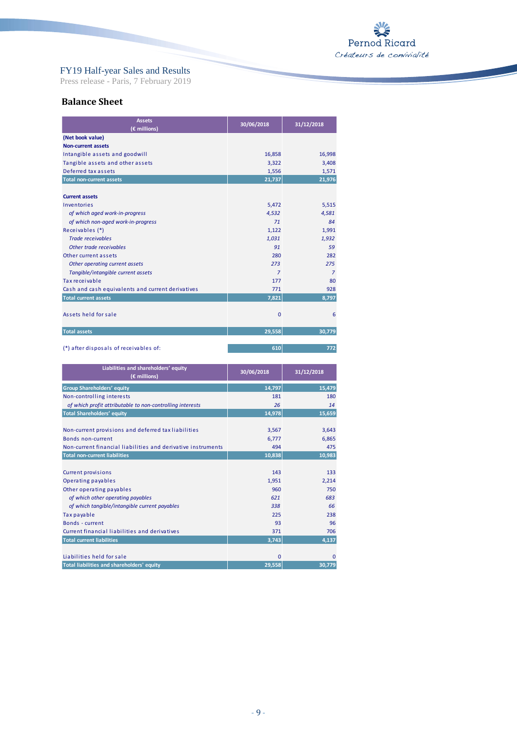

Press release - Paris, 7 February 2019

### **Balance Sheet**

| <b>Assets</b><br>(€ millions)                     | 30/06/2018     | 31/12/2018     |
|---------------------------------------------------|----------------|----------------|
| (Net book value)                                  |                |                |
| <b>Non-current assets</b>                         |                |                |
| Intangible assets and goodwill                    | 16,858         | 16,998         |
| Tangible assets and other assets                  | 3,322          | 3,408          |
| Deferred tax assets                               | 1,556          | 1,571          |
| <b>Total non-current assets</b>                   | 21,737         | 21,976         |
| <b>Current assets</b>                             |                |                |
| Inventories                                       | 5,472          | 5,515          |
| of which aged work-in-progress                    | 4,532          | 4,581          |
| of which non-aged work-in-progress                | 71             | 84             |
| Receivables (*)                                   | 1,122          | 1,991          |
| <b>Trade receivables</b>                          | 1,031          | 1.932          |
| Other trade receivables                           | 91             | 59             |
| Other current assets                              | 280            | 282            |
| Other operating current assets                    | 273            | 275            |
| Tangible/intangible current assets                | $\overline{7}$ | $\overline{7}$ |
| Tax receivable                                    | 177            | 80             |
| Cash and cash equivalents and current derivatives | 771            | 928            |
| <b>Total current assets</b>                       | 7,821          | 8,797          |
| Assets held for sale                              | $\mathbf{0}$   | 6              |
| <b>Total assets</b>                               | 29.558         | 30.779         |

(\*) after disposals of receivables of: **610 772**

| Liabilities and shareholders' equity<br>(€ millions)         | 30/06/2018   | 31/12/2018 |
|--------------------------------------------------------------|--------------|------------|
| <b>Group Shareholders' equity</b>                            | 14,797       | 15,479     |
| Non-controlling interests                                    | 181          | 180        |
| of which profit attributable to non-controlling interests    | 26           | 14         |
| <b>Total Shareholders' equity</b>                            | 14,978       | 15,659     |
|                                                              |              |            |
| Non-current provisions and deferred tax liabilities          | 3,567        | 3,643      |
| Bonds non-current                                            | 6.777        | 6,865      |
| Non-current financial liabilities and derivative instruments | 494          | 475        |
| <b>Total non-current liabilities</b>                         | 10,838       | 10,983     |
|                                                              |              |            |
| <b>Current provisions</b>                                    | 143          | 133        |
| Operating payables                                           | 1,951        | 2,214      |
| Other operating payables                                     | 960          | 750        |
| of which other operating payables                            | 621          | 683        |
| of which tangible/intangible current payables                | 338          | 66         |
| Tax payable                                                  | 225          | 238        |
| Bonds - current                                              | 93           | 96         |
| Current financial liabilities and derivatives                | 371          | 706        |
| <b>Total current liabilities</b>                             | 3,743        | 4,137      |
|                                                              |              |            |
| Liabilities held for sale                                    | $\mathbf{0}$ | $\Omega$   |
| Total liabilities and shareholders' equity                   | 29,558       | 30,779     |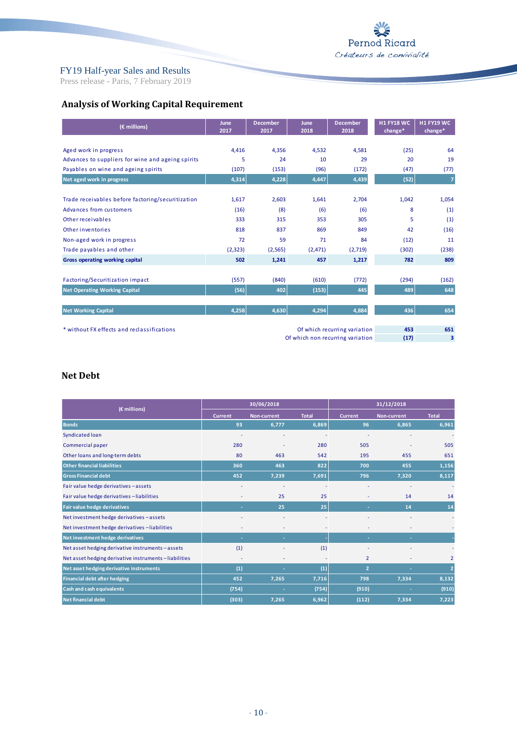Press release - Paris, 7 February 2019

# **Analysis of Working Capital Requirement**

| (€ millions)                                      | <b>June</b><br>2017 | <b>December</b><br>2017 | June<br>2018 | <b>December</b><br>2018          | <b>H1 FY18 WC</b><br>change* | <b>H1 FY19 WC</b><br>change* |
|---------------------------------------------------|---------------------|-------------------------|--------------|----------------------------------|------------------------------|------------------------------|
| Aged work in progress                             | 4,416               | 4,356                   | 4,532        | 4,581                            | (25)                         | 64                           |
| Advances to suppliers for wine and ageing spirits | 5                   | 24                      | 10           | 29                               | 20                           | 19                           |
| Payables on wine and ageing spirits               | (107)               | (153)                   | (96)         | (172)                            | (47)                         | (77)                         |
| Net aged work in progress                         | 4,314               | 4,228                   | 4,447        | 4,439                            | (52)                         | 7                            |
|                                                   |                     |                         |              |                                  |                              |                              |
| Trade receivables before factoring/securitization | 1,617               | 2,603                   | 1,641        | 2,704                            | 1,042                        | 1,054                        |
| Advances from customers                           | (16)                | (8)                     | (6)          | (6)                              | 8                            | (1)                          |
| Other receivables                                 | 333                 | 315                     | 353          | 305                              | 5                            | (1)                          |
| Other inventories                                 | 818                 | 837                     | 869          | 849                              | 42                           | (16)                         |
| Non-aged work in progress                         | 72                  | 59                      | 71           | 84                               | (12)                         | 11                           |
| Trade payables and other                          | (2, 323)            | (2, 565)                | (2,471)      | (2,719)                          | (302)                        | (238)                        |
| <b>Gross operating working capital</b>            | 502                 | 1,241                   | 457          | 1,217                            | 782                          | 809                          |
|                                                   |                     |                         |              |                                  |                              |                              |
| Factoring/Securitization impact                   | (557)               | (840)                   | (610)        | (772)                            | (294)                        | (162)                        |
| <b>Net Operating Working Capital</b>              | (56)                | 402                     | (153)        | 445                              | 489                          | 648                          |
|                                                   |                     |                         |              |                                  |                              |                              |
| <b>Net Working Capital</b>                        | 4,258               | 4,630                   | 4,294        | 4,884                            | 436                          | 654                          |
|                                                   |                     |                         |              |                                  |                              |                              |
| * without FX effects and reclassifications        |                     |                         |              | Of which recurring variation     | 453                          | 651                          |
|                                                   |                     |                         |              | Of which non recurring variation | (17)                         | 3                            |

### **Net Debt**

|                                                      | 30/06/2018     |                    |              | 31/12/2018     |                    |                         |
|------------------------------------------------------|----------------|--------------------|--------------|----------------|--------------------|-------------------------|
| (€ millions)                                         | <b>Current</b> | <b>Non-current</b> | <b>Total</b> | <b>Current</b> | <b>Non-current</b> | <b>Total</b>            |
| <b>Bonds</b>                                         | 93             | 6,777              | 6,869        | 96             | 6,865              | 6,961                   |
| Syndicated loan                                      |                |                    |              |                |                    |                         |
| Commercial paper                                     | 280            |                    | 280          | 505            |                    | 505                     |
| Other loans and long-term debts                      | 80             | 463                | 542          | 195            | 455                | 651                     |
| <b>Other financial liabilities</b>                   | 360            | 463                | 822          | 700            | 455                | 1,156                   |
| <b>Gross Financial debt</b>                          | 452            | 7,239              | 7,691        | 796            | 7,320              | 8,117                   |
| Fair value hedge derivatives - assets                |                |                    |              |                |                    |                         |
| Fair value hedge derivatives -liabilities            |                | 25                 | 25           |                | 14                 | 14                      |
| <b>Fair value hedge derivatives</b>                  | ×.             | 25                 | 25           | ۰              | 14                 | 14                      |
| Net investment hedge derivatives - assets            |                |                    |              |                |                    |                         |
| Net investment hedge derivatives -liabilities        |                |                    |              |                |                    |                         |
| Net investment hedge derivatives                     | ×              | ×.                 |              |                |                    |                         |
| Net asset hedging derivative instruments-assets      | (1)            |                    | (1)          |                |                    |                         |
| Net asset hedging derivative instruments-liabilities | ٠              | ٠                  |              | 2              |                    | $\overline{\mathbf{c}}$ |
| Net asset hedging derivative instruments             | (1)            | н                  | (1)          | $\overline{2}$ |                    | 2                       |
| <b>Financial debt after hedging</b>                  | 452            | 7,265              | 7,716        | 798            | 7,334              | 8,132                   |
| <b>Cash and cash equivalents</b>                     | (754)          | ٠                  | (754)        | (910)          | н                  | (910)                   |
| <b>Net financial debt</b>                            | (303)          | 7,265              | 6,962        | (112)          | 7,334              | 7,223                   |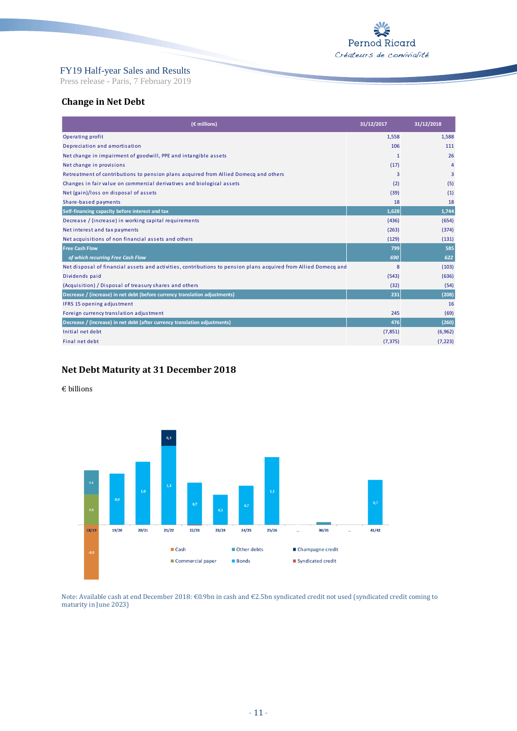Press release - Paris, 7 February 2019

### **Change in Net Debt**

| (€ millions)                                                                                                    | 31/12/2017   | 31/12/2018     |
|-----------------------------------------------------------------------------------------------------------------|--------------|----------------|
| Operating profit                                                                                                | 1,558        | 1,588          |
| Depreciation and amortisation                                                                                   | 106          | 111            |
| Net change in impairment of goodwill, PPE and intangible assets                                                 | $\mathbf{1}$ | 26             |
| Net change in provisions                                                                                        | (17)         | $\overline{4}$ |
| Retreatment of contributions to pension plans acquired from Allied Domecq and others                            | 3            | 3              |
| Changes in fair value on commercial derivatives and biological assets                                           | (2)          | (5)            |
| Net (gain)/loss on disposal of assets                                                                           | (39)         | (1)            |
| Share-based payments                                                                                            | 18           | 18             |
| Self-financing capacity before interest and tax                                                                 | 1,628        | 1,744          |
| Decrease / (increase) in working capital requirements                                                           | (436)        | (654)          |
| Net interest and tax payments                                                                                   | (263)        | (374)          |
| Net acquisitions of non financial assets and others                                                             | (129)        | (131)          |
| <b>Free Cash Flow</b>                                                                                           | 799          | 585            |
| of which recurring Free Cash Flow                                                                               | 690          | 622            |
| Net disposal of financial assets and activities, contributions to pension plans acquired from Allied Domecq and | 8            | (103)          |
| Dividends paid                                                                                                  | (543)        | (636)          |
| (Acquisition) / Disposal of treasury shares and others                                                          | (32)         | (54)           |
| Decrease / (increase) in net debt (before currency translation adjustments)                                     | 231          | (208)          |
| IFRS 15 opening adjustment                                                                                      |              | 16             |
| Foreign currency translation adjustment                                                                         | 245          | (69)           |
| Decrease / (increase) in net debt (after currency translation adjustments)                                      | 476          | (260)          |
| Initial net debt                                                                                                | (7,851)      | (6,962)        |
| Final net debt                                                                                                  | (7, 375)     | (7, 223)       |

## **Net Debt Maturity at 31 December 2018**

#### € billions



Note: Available cash at end December 2018: €0.9bn in cash and €2.5bn syndicated credit not used (syndicated credit coming to maturity in June 2023)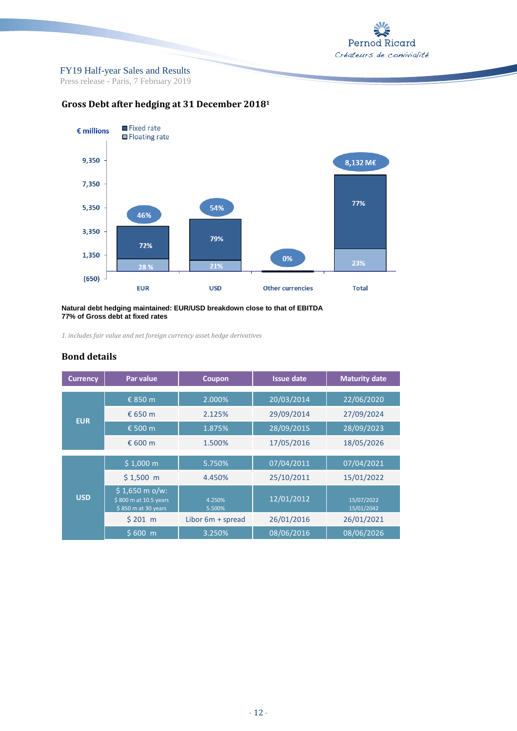

Press release - Paris, 7 February 2019



## **Gross Debt after hedging at 31 December 2018<sup>1</sup>**

#### **Natural debt hedging maintained: EUR/USD breakdown close to that of EBITDA 77% of Gross debt at fixed rates**

*1. includes fair value and net foreign currency asset hedge derivatives*

### **Bond details**

| <b>Currency</b> | Par value                                                      | Coupon                | <b>Issue date</b> | <b>Maturity date</b>     |
|-----------------|----------------------------------------------------------------|-----------------------|-------------------|--------------------------|
|                 | € 850 m                                                        | 2.000%                | 20/03/2014        | 22/06/2020               |
|                 | € 650 $m$                                                      | 2.125%                | 29/09/2014        | 27/09/2024               |
| <b>EUR</b>      | € 500 m                                                        | 1.875%                | 28/09/2015        | 28/09/2023               |
|                 | € 600 m                                                        | 1.500%                | 17/05/2016        | 18/05/2026               |
|                 |                                                                |                       |                   |                          |
|                 | \$1,000 m                                                      | 5.750%                | 07/04/2011        | 07/04/2021               |
|                 | $$1,500$ m                                                     | 4.450%                | 25/10/2011        | 15/01/2022               |
| <b>USD</b>      | \$1,650 m o/w:<br>\$800 m at 10.5 years<br>\$850 m at 30 years | 4.250%<br>5.500%      | 12/01/2012        | 15/07/2022<br>15/01/2042 |
|                 | \$201 m                                                        | Libor $6m + s$ spread | 26/01/2016        | 26/01/2021               |
|                 | \$600 <sub>m</sub>                                             | 3.250%                | 08/06/2016        | 08/06/2026               |